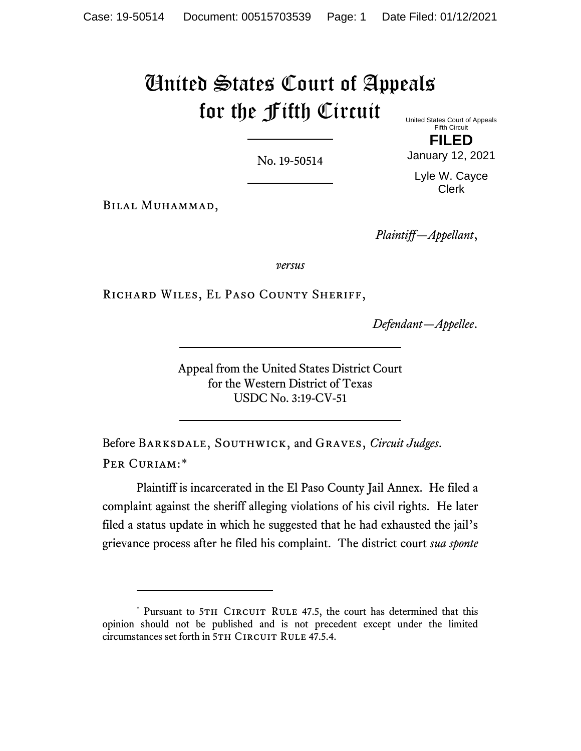# United States Court of Appeals for the Fifth Circuit United States Court of Appeals

No. 19-50514

Fifth Circuit **FILED**

January 12, 2021

Lyle W. Cayce Clerk

Bilal Muhammad,

*Plaintiff—Appellant*,

*versus*

Richard Wiles, El Paso County Sheriff,

*Defendant—Appellee*.

Appeal from the United States District Court for the Western District of Texas USDC No. 3:19-CV-51

Before Barksdale, Southwick, and Graves, *Circuit Judges*. PER CURIAM:[\\*](#page-0-0)

Plaintiff is incarcerated in the El Paso County Jail Annex. He filed a complaint against the sheriff alleging violations of his civil rights. He later filed a status update in which he suggested that he had exhausted the jail's grievance process after he filed his complaint. The district court *sua sponte*

<span id="page-0-0"></span><sup>\*</sup> Pursuant to 5TH CIRCUIT RULE 47.5, the court has determined that this opinion should not be published and is not precedent except under the limited circumstances set forth in 5TH CIRCUIT RULE 47.5.4.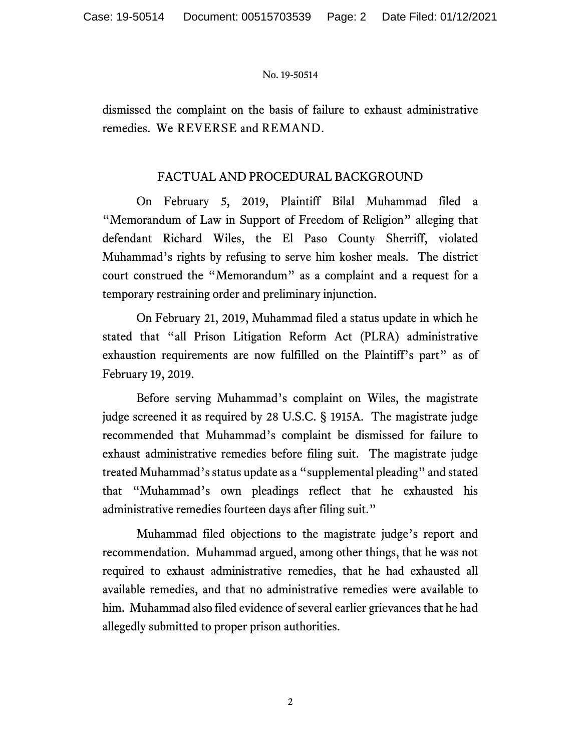dismissed the complaint on the basis of failure to exhaust administrative remedies. We REVERSE and REMAND.

## FACTUAL AND PROCEDURAL BACKGROUND

On February 5, 2019, Plaintiff Bilal Muhammad filed a "Memorandum of Law in Support of Freedom of Religion" alleging that defendant Richard Wiles, the El Paso County Sherriff, violated Muhammad's rights by refusing to serve him kosher meals. The district court construed the "Memorandum" as a complaint and a request for a temporary restraining order and preliminary injunction.

On February 21, 2019, Muhammad filed a status update in which he stated that "all Prison Litigation Reform Act (PLRA) administrative exhaustion requirements are now fulfilled on the Plaintiff's part" as of February 19, 2019.

Before serving Muhammad's complaint on Wiles, the magistrate judge screened it as required by 28 U.S.C. § 1915A. The magistrate judge recommended that Muhammad's complaint be dismissed for failure to exhaust administrative remedies before filing suit. The magistrate judge treated Muhammad's status update as a "supplemental pleading" and stated that "Muhammad's own pleadings reflect that he exhausted his administrative remedies fourteen days after filing suit."

Muhammad filed objections to the magistrate judge's report and recommendation. Muhammad argued, among other things, that he was not required to exhaust administrative remedies, that he had exhausted all available remedies, and that no administrative remedies were available to him. Muhammad also filed evidence of several earlier grievances that he had allegedly submitted to proper prison authorities.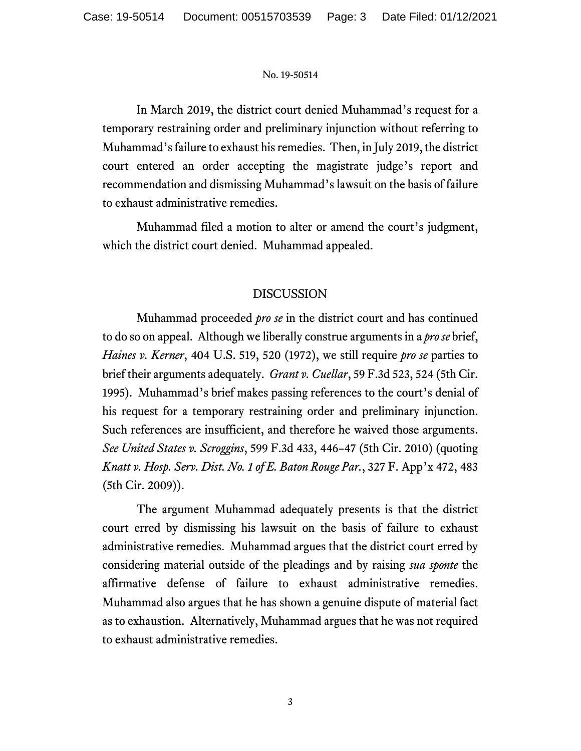In March 2019, the district court denied Muhammad's request for a temporary restraining order and preliminary injunction without referring to Muhammad's failure to exhaust his remedies. Then, in July 2019, the district court entered an order accepting the magistrate judge's report and recommendation and dismissing Muhammad's lawsuit on the basis of failure to exhaust administrative remedies.

Muhammad filed a motion to alter or amend the court's judgment, which the district court denied. Muhammad appealed.

### DISCUSSION

Muhammad proceeded *pro se* in the district court and has continued to do so on appeal. Although we liberally construe arguments in a *pro se* brief, *Haines v. Kerner*, 404 U.S. 519, 520 (1972), we still require *pro se* parties to brief their arguments adequately. *Grant v. Cuellar*, 59 F.3d 523, 524 (5th Cir. 1995). Muhammad's brief makes passing references to the court's denial of his request for a temporary restraining order and preliminary injunction. Such references are insufficient, and therefore he waived those arguments. *See United States v. Scroggins*, 599 F.3d 433, 446–47 (5th Cir. 2010) (quoting *Knatt v. Hosp. Serv. Dist. No. 1 of E. Baton Rouge Par.*, 327 F. App'x 472, 483 (5th Cir. 2009)).

The argument Muhammad adequately presents is that the district court erred by dismissing his lawsuit on the basis of failure to exhaust administrative remedies. Muhammad argues that the district court erred by considering material outside of the pleadings and by raising *sua sponte* the affirmative defense of failure to exhaust administrative remedies. Muhammad also argues that he has shown a genuine dispute of material fact as to exhaustion. Alternatively, Muhammad argues that he was not required to exhaust administrative remedies.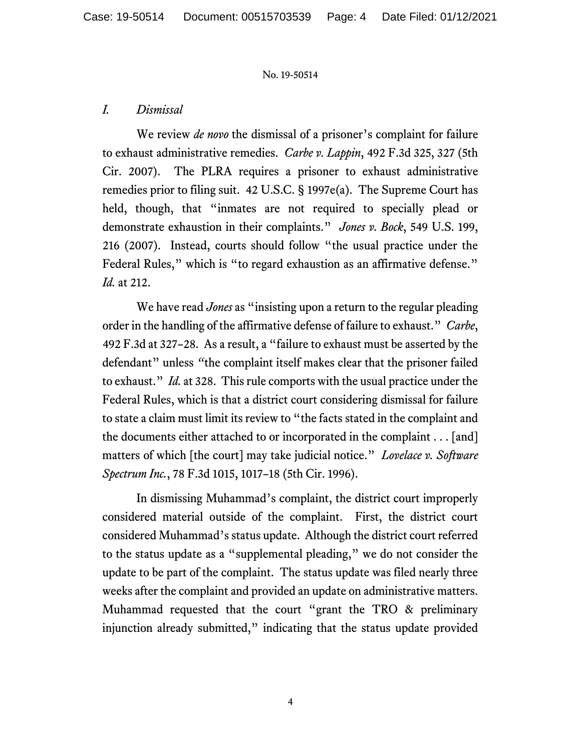### *I. Dismissal*

We review *de novo* the dismissal of a prisoner's complaint for failure to exhaust administrative remedies. *Carbe v. Lappin*, 492 F.3d 325, 327 (5th Cir. 2007). The PLRA requires a prisoner to exhaust administrative remedies prior to filing suit. 42 U.S.C. § 1997e(a). The Supreme Court has held, though, that "inmates are not required to specially plead or demonstrate exhaustion in their complaints." *Jones v. Bock*, 549 U.S. 199, 216 (2007). Instead, courts should follow "the usual practice under the Federal Rules," which is "to regard exhaustion as an affirmative defense." *Id.* at 212.

We have read *Jones* as "insisting upon a return to the regular pleading order in the handling of the affirmative defense of failure to exhaust." *Carbe*, 492 F.3d at 327–28. As a result, a "failure to exhaust must be asserted by the defendant" unless *"*the complaint itself makes clear that the prisoner failed to exhaust." *Id.* at 328. This rule comports with the usual practice under the Federal Rules, which is that a district court considering dismissal for failure to state a claim must limit its review to "the facts stated in the complaint and the documents either attached to or incorporated in the complaint . . . [and] matters of which [the court] may take judicial notice." *Lovelace v. Software Spectrum Inc.*, 78 F.3d 1015, 1017–18 (5th Cir. 1996).

In dismissing Muhammad's complaint, the district court improperly considered material outside of the complaint. First, the district court considered Muhammad's status update. Although the district court referred to the status update as a "supplemental pleading," we do not consider the update to be part of the complaint. The status update was filed nearly three weeks after the complaint and provided an update on administrative matters. Muhammad requested that the court "grant the TRO & preliminary injunction already submitted," indicating that the status update provided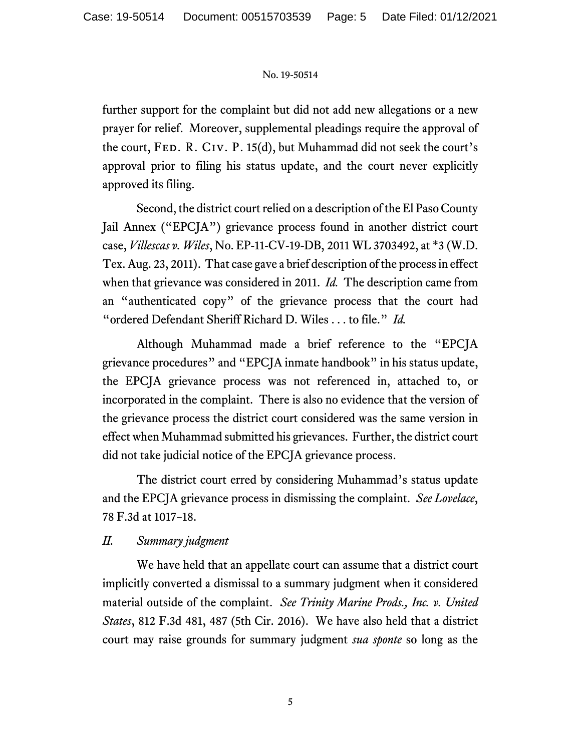further support for the complaint but did not add new allegations or a new prayer for relief. Moreover, supplemental pleadings require the approval of the court, FED. R. CIV. P. 15(d), but Muhammad did not seek the court's approval prior to filing his status update, and the court never explicitly approved its filing.

Second, the district court relied on a description of the El Paso County Jail Annex ("EPCJA") grievance process found in another district court case, *Villescas v. Wiles*, No. EP-11-CV-19-DB, 2011 WL 3703492, at \*3 (W.D. Tex. Aug. 23, 2011). That case gave a brief description of the process in effect when that grievance was considered in 2011. *Id.* The description came from an "authenticated copy" of the grievance process that the court had "ordered Defendant Sheriff Richard D. Wiles . . . to file." *Id.*

Although Muhammad made a brief reference to the "EPCJA grievance procedures" and "EPCJA inmate handbook" in his status update, the EPCJA grievance process was not referenced in, attached to, or incorporated in the complaint. There is also no evidence that the version of the grievance process the district court considered was the same version in effect when Muhammad submitted his grievances. Further, the district court did not take judicial notice of the EPCJA grievance process.

The district court erred by considering Muhammad's status update and the EPCJA grievance process in dismissing the complaint. *See Lovelace*, 78 F.3d at 1017–18.

### *II. Summary judgment*

We have held that an appellate court can assume that a district court implicitly converted a dismissal to a summary judgment when it considered material outside of the complaint. *See Trinity Marine Prods., Inc. v. United States*, 812 F.3d 481, 487 (5th Cir. 2016). We have also held that a district court may raise grounds for summary judgment *sua sponte* so long as the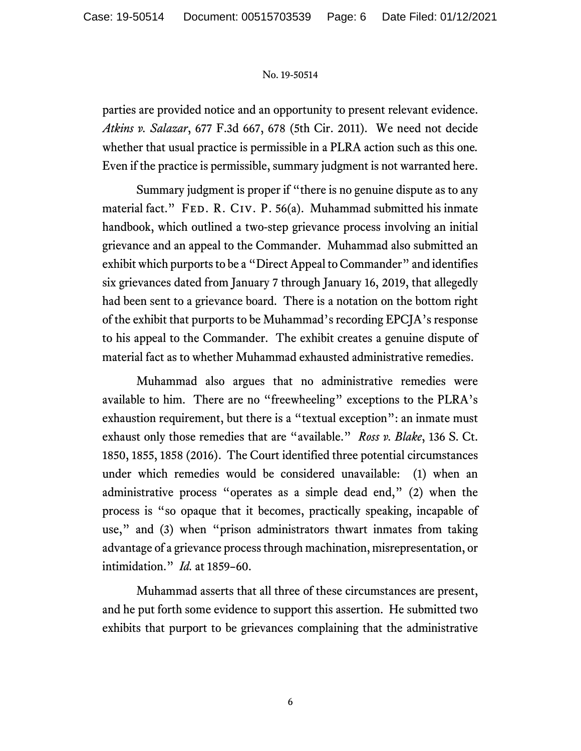parties are provided notice and an opportunity to present relevant evidence. *Atkins v. Salazar*, 677 F.3d 667, 678 (5th Cir. 2011). We need not decide whether that usual practice is permissible in a PLRA action such as this one*.*  Even if the practice is permissible, summary judgment is not warranted here.

Summary judgment is proper if "there is no genuine dispute as to any material fact." FED. R. CIV. P. 56(a). Muhammad submitted his inmate handbook, which outlined a two-step grievance process involving an initial grievance and an appeal to the Commander. Muhammad also submitted an exhibit which purports to be a "Direct Appeal to Commander" and identifies six grievances dated from January 7 through January 16, 2019, that allegedly had been sent to a grievance board. There is a notation on the bottom right of the exhibit that purports to be Muhammad's recording EPCJA's response to his appeal to the Commander. The exhibit creates a genuine dispute of material fact as to whether Muhammad exhausted administrative remedies.

Muhammad also argues that no administrative remedies were available to him. There are no "freewheeling" exceptions to the PLRA's exhaustion requirement, but there is a "textual exception": an inmate must exhaust only those remedies that are "available." *Ross v. Blake*, 136 S. Ct. 1850, 1855, 1858 (2016). The Court identified three potential circumstances under which remedies would be considered unavailable: (1) when an administrative process "operates as a simple dead end," (2) when the process is "so opaque that it becomes, practically speaking, incapable of use," and (3) when "prison administrators thwart inmates from taking advantage of a grievance process through machination, misrepresentation, or intimidation." *Id.* at 1859–60.

Muhammad asserts that all three of these circumstances are present, and he put forth some evidence to support this assertion. He submitted two exhibits that purport to be grievances complaining that the administrative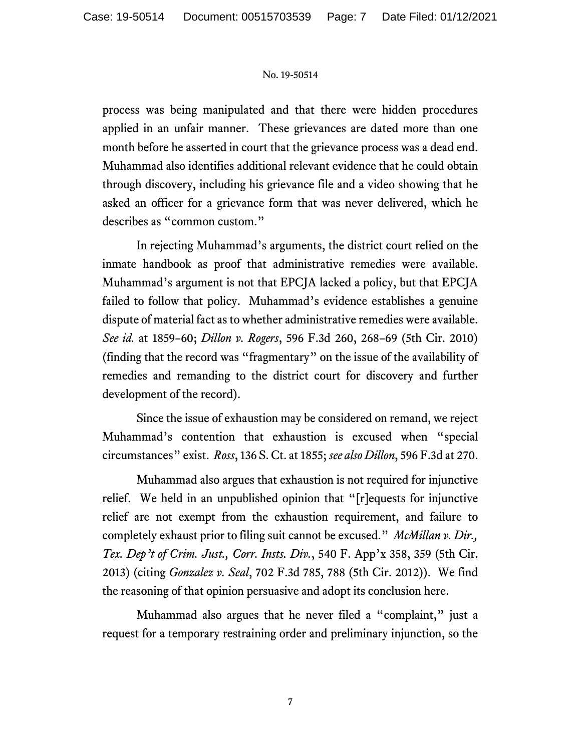process was being manipulated and that there were hidden procedures applied in an unfair manner. These grievances are dated more than one month before he asserted in court that the grievance process was a dead end. Muhammad also identifies additional relevant evidence that he could obtain through discovery, including his grievance file and a video showing that he asked an officer for a grievance form that was never delivered, which he describes as "common custom."

In rejecting Muhammad's arguments, the district court relied on the inmate handbook as proof that administrative remedies were available. Muhammad's argument is not that EPCJA lacked a policy, but that EPCJA failed to follow that policy. Muhammad's evidence establishes a genuine dispute of material fact as to whether administrative remedies were available. *See id.* at 1859–60; *Dillon v. Rogers*, 596 F.3d 260, 268–69 (5th Cir. 2010) (finding that the record was "fragmentary" on the issue of the availability of remedies and remanding to the district court for discovery and further development of the record).

Since the issue of exhaustion may be considered on remand, we reject Muhammad's contention that exhaustion is excused when "special circumstances" exist. *Ross*, 136 S. Ct. at 1855; *see also Dillon*, 596 F.3d at 270.

Muhammad also argues that exhaustion is not required for injunctive relief. We held in an unpublished opinion that "[r]equests for injunctive relief are not exempt from the exhaustion requirement, and failure to completely exhaust prior to filing suit cannot be excused." *McMillan v. Dir., Tex. Dep't of Crim. Just., Corr. Insts. Div.*, 540 F. App'x 358, 359 (5th Cir. 2013) (citing *Gonzalez v. Seal*, 702 F.3d 785, 788 (5th Cir. 2012)). We find the reasoning of that opinion persuasive and adopt its conclusion here.

Muhammad also argues that he never filed a "complaint," just a request for a temporary restraining order and preliminary injunction, so the